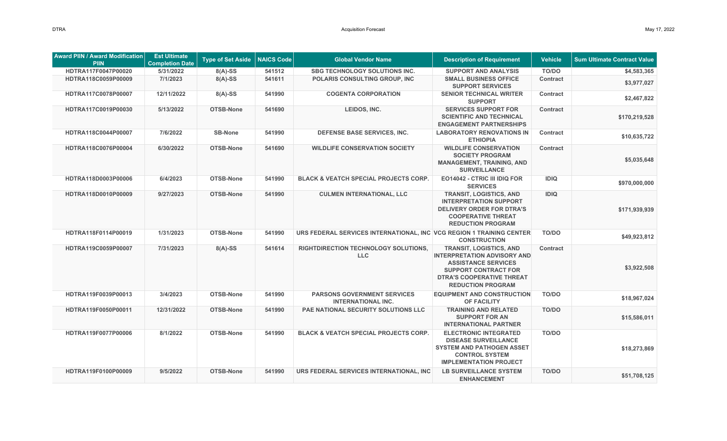| <b>Award PIIN / Award Modification</b><br><b>PIIN</b> | <b>Est Ultimate</b><br><b>Completion Date</b> | <b>Type of Set Aside</b> | <b>NAICS Code</b> | <b>Global Vendor Name</b>                                            | <b>Description of Requirement</b>                                                                                                                                                                 | <b>Vehicle</b>  | <b>Sum Ultimate Contract Value</b> |
|-------------------------------------------------------|-----------------------------------------------|--------------------------|-------------------|----------------------------------------------------------------------|---------------------------------------------------------------------------------------------------------------------------------------------------------------------------------------------------|-----------------|------------------------------------|
| HDTRA117F0047P00020                                   | 5/31/2022                                     | $8(A)-SS$                | 541512            | <b>SBG TECHNOLOGY SOLUTIONS INC.</b>                                 | <b>SUPPORT AND ANALYSIS</b>                                                                                                                                                                       | TO/DO           | \$4,583,365                        |
| HDTRA118C0059P00009                                   | 7/1/2023                                      | $8(A)-SS$                | 541611            | <b>POLARIS CONSULTING GROUP. INC.</b>                                | <b>SMALL BUSINESS OFFICE</b><br><b>SUPPORT SERVICES</b>                                                                                                                                           | <b>Contract</b> | \$3,977,027                        |
| HDTRA117C0078P00007                                   | 12/11/2022                                    | $8(A)-SS$                | 541990            | <b>COGENTA CORPORATION</b>                                           | <b>SENIOR TECHNICAL WRITER</b><br><b>SUPPORT</b>                                                                                                                                                  | <b>Contract</b> | \$2,467,822                        |
| HDTRA117C0019P00030                                   | 5/13/2022                                     | OTSB-None                | 541690            | LEIDOS, INC.                                                         | <b>SERVICES SUPPORT FOR</b><br><b>SCIENTIFIC AND TECHNICAL</b><br><b>ENGAGEMENT PARTNERSHIPS</b>                                                                                                  | <b>Contract</b> | \$170,219,528                      |
| HDTRA118C0044P00007                                   | 7/6/2022                                      | <b>SB-None</b>           | 541990            | DEFENSE BASE SERVICES, INC.                                          | <b>LABORATORY RENOVATIONS IN</b><br><b>ETHIOPIA</b>                                                                                                                                               | <b>Contract</b> | \$10,635,722                       |
| HDTRA118C0076P00004                                   | 6/30/2022                                     | OTSB-None                | 541690            | <b>WILDLIFE CONSERVATION SOCIETY</b>                                 | <b>WILDLIFE CONSERVATION</b><br><b>SOCIETY PROGRAM</b><br><b>MANAGEMENT, TRAINING, AND</b><br><b>SURVEILLANCE</b>                                                                                 | <b>Contract</b> | \$5,035,648                        |
| HDTRA118D0003P00006                                   | 6/4/2023                                      | OTSB-None                | 541990            | <b>BLACK &amp; VEATCH SPECIAL PROJECTS CORP.</b>                     | EO14042 - CTRIC III IDIQ FOR<br><b>SERVICES</b>                                                                                                                                                   | <b>IDIQ</b>     | \$970,000,000                      |
| HDTRA118D0010P00009                                   | 9/27/2023                                     | OTSB-None                | 541990            | <b>CULMEN INTERNATIONAL, LLC</b>                                     | <b>TRANSIT, LOGISTICS, AND</b><br><b>INTERPRETATION SUPPORT</b><br><b>DELIVERY ORDER FOR DTRA'S</b><br><b>COOPERATIVE THREAT</b><br><b>REDUCTION PROGRAM</b>                                      | <b>IDIQ</b>     | \$171,939,939                      |
| HDTRA118F0114P00019                                   | 1/31/2023                                     | OTSB-None                | 541990            | URS FEDERAL SERVICES INTERNATIONAL, INC VCG REGION 1 TRAINING CENTER | <b>CONSTRUCTION</b>                                                                                                                                                                               | <b>TO/DO</b>    | \$49,923,812                       |
| HDTRA119C0059P00007                                   | 7/31/2023                                     | $8(A)-SS$                | 541614            | RIGHTDIRECTION TECHNOLOGY SOLUTIONS,<br><b>LLC</b>                   | <b>TRANSIT, LOGISTICS, AND</b><br><b>INTERPRETATION ADVISORY AND</b><br><b>ASSISTANCE SERVICES</b><br><b>SUPPORT CONTRACT FOR</b><br><b>DTRA'S COOPERATIVE THREAT</b><br><b>REDUCTION PROGRAM</b> | <b>Contract</b> | \$3,922,508                        |
| HDTRA119F0039P00013                                   | 3/4/2023                                      | OTSB-None                | 541990            | <b>PARSONS GOVERNMENT SERVICES</b><br><b>INTERNATIONAL INC.</b>      | <b>EQUIPMENT AND CONSTRUCTION</b><br>OF FACILITY                                                                                                                                                  | <b>TO/DO</b>    | \$18,967,024                       |
| HDTRA119F0050P00011                                   | 12/31/2022                                    | OTSB-None                | 541990            | PAE NATIONAL SECURITY SOLUTIONS LLC                                  | <b>TRAINING AND RELATED</b><br><b>SUPPORT FOR AN</b><br><b>INTERNATIONAL PARTNER</b>                                                                                                              | TO/DO           | \$15,586,011                       |
| HDTRA119F0077P00006                                   | 8/1/2022                                      | OTSB-None                | 541990            | <b>BLACK &amp; VEATCH SPECIAL PROJECTS CORP.</b>                     | <b>ELECTRONIC INTEGRATED</b><br><b>DISEASE SURVEILLANCE</b><br><b>SYSTEM AND PATHOGEN ASSET</b><br><b>CONTROL SYSTEM</b><br><b>IMPLEMENTATION PROJECT</b>                                         | TO/DO           | \$18,273,869                       |
| HDTRA119F0100P00009                                   | 9/5/2022                                      | OTSB-None                | 541990            | URS FEDERAL SERVICES INTERNATIONAL, INC                              | <b>LB SURVEILLANCE SYSTEM</b><br><b>ENHANCEMENT</b>                                                                                                                                               | <b>TO/DO</b>    | \$51,708,125                       |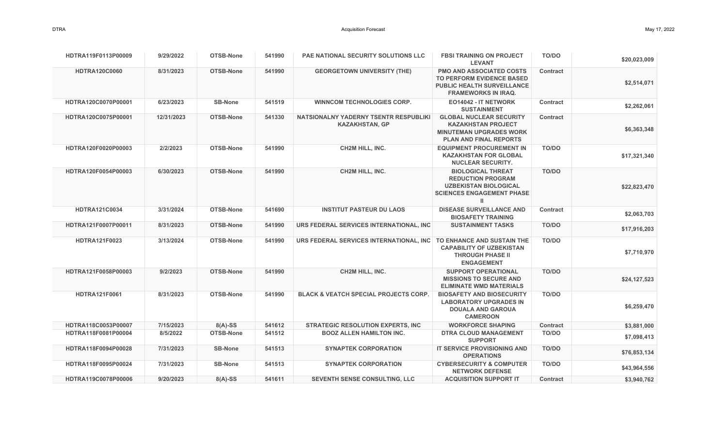| HDTRA119F0113P00009  | 9/29/2022  | OTSB-None      | 541990 | <b>PAE NATIONAL SECURITY SOLUTIONS LLC</b>                     | <b>FBSI TRAINING ON PROJECT</b><br><b>LEVANT</b>                                                                                | <b>TO/DO</b>    | \$20,023,009 |
|----------------------|------------|----------------|--------|----------------------------------------------------------------|---------------------------------------------------------------------------------------------------------------------------------|-----------------|--------------|
| <b>HDTRA120C0060</b> | 8/31/2023  | OTSB-None      | 541990 | <b>GEORGETOWN UNIVERSITY (THE)</b>                             | PMO AND ASSOCIATED COSTS<br><b>TO PERFORM EVIDENCE BASED</b><br><b>PUBLIC HEALTH SURVEILLANCE</b><br><b>FRAMEWORKS IN IRAQ.</b> | <b>Contract</b> | \$2,514,071  |
| HDTRA120C0070P00001  | 6/23/2023  | <b>SB-None</b> | 541519 | <b>WINNCOM TECHNOLOGIES CORP.</b>                              | EO14042 - IT NETWORK<br><b>SUSTAINMENT</b>                                                                                      | <b>Contract</b> | \$2,262,061  |
| HDTRA120C0075P00001  | 12/31/2023 | OTSB-None      | 541330 | NATSIONALNY YADERNY TSENTR RESPUBLIKI<br><b>KAZAKHSTAN, GP</b> | <b>GLOBAL NUCLEAR SECURITY</b><br><b>KAZAKHSTAN PROJECT</b><br><b>MINUTEMAN UPGRADES WORK</b><br><b>PLAN AND FINAL REPORTS</b>  | <b>Contract</b> | \$6,363,348  |
| HDTRA120F0020P00003  | 2/2/2023   | OTSB-None      | 541990 | <b>CH2M HILL, INC.</b>                                         | <b>EQUIPMENT PROCUREMENT IN</b><br><b>KAZAKHSTAN FOR GLOBAL</b><br><b>NUCLEAR SECURITY.</b>                                     | TO/DO           | \$17,321,340 |
| HDTRA120F0054P00003  | 6/30/2023  | OTSB-None      | 541990 | <b>CH2M HILL, INC.</b>                                         | <b>BIOLOGICAL THREAT</b><br><b>REDUCTION PROGRAM</b><br><b>UZBEKISTAN BIOLOGICAL</b><br><b>SCIENCES ENGAGEMENT PHASE</b><br>ш   | <b>TO/DO</b>    | \$22,823,470 |
| <b>HDTRA121C0034</b> | 3/31/2024  | OTSB-None      | 541690 | <b>INSTITUT PASTEUR DU LAOS</b>                                | <b>DISEASE SURVEILLANCE AND</b><br><b>BIOSAFETY TRAINING</b>                                                                    | <b>Contract</b> | \$2,063,703  |
| HDTRA121F0007P00011  | 8/31/2023  | OTSB-None      | 541990 | URS FEDERAL SERVICES INTERNATIONAL, INC                        | <b>SUSTAINMENT TASKS</b>                                                                                                        | <b>TO/DO</b>    | \$17,916,203 |
| <b>HDTRA121F0023</b> | 3/13/2024  | OTSB-None      | 541990 | URS FEDERAL SERVICES INTERNATIONAL. INC                        | TO ENHANCE AND SUSTAIN THE<br><b>CAPABILITY OF UZBEKISTAN</b><br><b>THROUGH PHASE II</b><br><b>ENGAGEMENT</b>                   | TO/DO           | \$7,710,970  |
| HDTRA121F0058P00003  | 9/2/2023   | OTSB-None      | 541990 | <b>CH2M HILL, INC.</b>                                         | <b>SUPPORT OPERATIONAL</b><br><b>MISSIONS TO SECURE AND</b><br><b>ELIMINATE WMD MATERIALS</b>                                   | <b>TO/DO</b>    | \$24,127,523 |
| <b>HDTRA121F0061</b> | 8/31/2023  | OTSB-None      | 541990 | <b>BLACK &amp; VEATCH SPECIAL PROJECTS CORP.</b>               | <b>BIOSAFETY AND BIOSECURITY</b><br><b>LABORATORY UPGRADES IN</b><br><b>DOUALA AND GAROUA</b><br><b>CAMEROON</b>                | <b>TO/DO</b>    | \$6,259,470  |
| HDTRA118C0053P00007  | 7/15/2023  | $8(A)-SS$      | 541612 | <b>STRATEGIC RESOLUTION EXPERTS, INC</b>                       | <b>WORKFORCE SHAPING</b>                                                                                                        | <b>Contract</b> | \$3,881,000  |
| HDTRA118F0081P00004  | 8/5/2022   | OTSB-None      | 541512 | <b>BOOZ ALLEN HAMILTON INC.</b>                                | <b>DTRA CLOUD MANAGEMENT</b><br><b>SUPPORT</b>                                                                                  | TO/DO           | \$7,098,413  |
| HDTRA118F0094P00028  | 7/31/2023  | <b>SB-None</b> | 541513 | <b>SYNAPTEK CORPORATION</b>                                    | IT SERVICE PROVISIONING AND<br><b>OPERATIONS</b>                                                                                | <b>TO/DO</b>    | \$76,853,134 |
| HDTRA118F0095P00024  | 7/31/2023  | <b>SB-None</b> | 541513 | <b>SYNAPTEK CORPORATION</b>                                    | <b>CYBERSECURITY &amp; COMPUTER</b><br><b>NETWORK DEFENSE</b>                                                                   | <b>TO/DO</b>    | \$43,964,556 |
| HDTRA119C0078P00006  | 9/20/2023  | $8(A)-SS$      | 541611 | <b>SEVENTH SENSE CONSULTING, LLC</b>                           | <b>ACQUISITION SUPPORT IT</b>                                                                                                   | <b>Contract</b> | \$3,940,762  |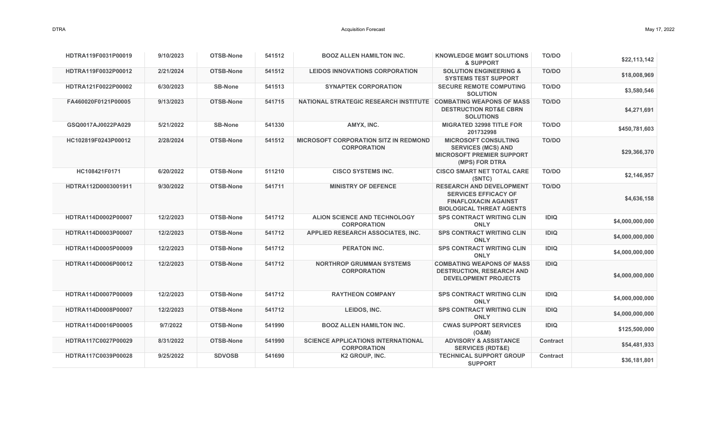| HDTRA119F0031P00019 | 9/10/2023 | OTSB-None        | 541512 | <b>BOOZ ALLEN HAMILTON INC.</b>                                    | <b>KNOWLEDGE MGMT SOLUTIONS</b><br>& SUPPORT                                                                                     | TO/DO           | \$22,113,142    |
|---------------------|-----------|------------------|--------|--------------------------------------------------------------------|----------------------------------------------------------------------------------------------------------------------------------|-----------------|-----------------|
| HDTRA119F0032P00012 | 2/21/2024 | OTSB-None        | 541512 | <b>LEIDOS INNOVATIONS CORPORATION</b>                              | <b>SOLUTION ENGINEERING &amp;</b><br><b>SYSTEMS TEST SUPPORT</b>                                                                 | <b>TO/DO</b>    | \$18,008,969    |
| HDTRA121F0022P00002 | 6/30/2023 | <b>SB-None</b>   | 541513 | <b>SYNAPTEK CORPORATION</b>                                        | <b>SECURE REMOTE COMPUTING</b><br><b>SOLUTION</b>                                                                                | TO/DO           | \$3,580,546     |
| FA460020F0121P00005 | 9/13/2023 | <b>OTSB-None</b> | 541715 | NATIONAL STRATEGIC RESEARCH INSTITUTE COMBATING WEAPONS OF MASS    | <b>DESTRUCTION RDT&amp;E CBRN</b><br><b>SOLUTIONS</b>                                                                            | TO/DO           | \$4,271,691     |
| GSQ0017AJ0022PA029  | 5/21/2022 | <b>SB-None</b>   | 541330 | AMYX. INC.                                                         | <b>MIGRATED 32998 TITLE FOR</b><br>201732998                                                                                     | TO/DO           | \$450,781,603   |
| HC102819F0243P00012 | 2/28/2024 | <b>OTSB-None</b> | 541512 | <b>MICROSOFT CORPORATION SITZ IN REDMOND</b><br><b>CORPORATION</b> | <b>MICROSOFT CONSULTING</b><br><b>SERVICES (MCS) AND</b><br><b>MICROSOFT PREMIER SUPPORT</b><br>(MPS) FOR DTRA                   | <b>TO/DO</b>    | \$29,366,370    |
| HC108421F0171       | 6/20/2022 | OTSB-None        | 511210 | <b>CISCO SYSTEMS INC.</b>                                          | <b>CISCO SMART NET TOTAL CARE</b><br>(SNTC)                                                                                      | TO/DO           | \$2,146,957     |
| HDTRA112D0003001911 | 9/30/2022 | OTSB-None        | 541711 | <b>MINISTRY OF DEFENCE</b>                                         | <b>RESEARCH AND DEVELOPMENT</b><br><b>SERVICES EFFICACY OF</b><br><b>FINAFLOXACIN AGAINST</b><br><b>BIOLOGICAL THREAT AGENTS</b> | TO/DO           | \$4,636,158     |
| HDTRA114D0002P00007 | 12/2/2023 | OTSB-None        | 541712 | <b>ALION SCIENCE AND TECHNOLOGY</b><br><b>CORPORATION</b>          | <b>SPS CONTRACT WRITING CLIN</b><br><b>ONLY</b>                                                                                  | <b>IDIQ</b>     | \$4,000,000,000 |
| HDTRA114D0003P00007 | 12/2/2023 | <b>OTSB-None</b> | 541712 | APPLIED RESEARCH ASSOCIATES, INC.                                  | <b>SPS CONTRACT WRITING CLIN</b><br><b>ONLY</b>                                                                                  | <b>IDIQ</b>     | \$4,000,000,000 |
| HDTRA114D0005P00009 | 12/2/2023 | OTSB-None        | 541712 | <b>PERATON INC.</b>                                                | <b>SPS CONTRACT WRITING CLIN</b><br><b>ONLY</b>                                                                                  | <b>IDIQ</b>     | \$4,000,000,000 |
| HDTRA114D0006P00012 | 12/2/2023 | <b>OTSB-None</b> | 541712 | <b>NORTHROP GRUMMAN SYSTEMS</b><br><b>CORPORATION</b>              | <b>COMBATING WEAPONS OF MASS</b><br><b>DESTRUCTION, RESEARCH AND</b><br><b>DEVELOPMENT PROJECTS</b>                              | <b>IDIQ</b>     | \$4,000,000,000 |
| HDTRA114D0007P00009 | 12/2/2023 | OTSB-None        | 541712 | <b>RAYTHEON COMPANY</b>                                            | <b>SPS CONTRACT WRITING CLIN</b><br><b>ONLY</b>                                                                                  | <b>IDIQ</b>     | \$4,000,000,000 |
| HDTRA114D0008P00007 | 12/2/2023 | OTSB-None        | 541712 | LEIDOS, INC.                                                       | <b>SPS CONTRACT WRITING CLIN</b><br><b>ONLY</b>                                                                                  | <b>IDIQ</b>     | \$4,000,000,000 |
| HDTRA114D0016P00005 | 9/7/2022  | OTSB-None        | 541990 | <b>BOOZ ALLEN HAMILTON INC.</b>                                    | <b>CWAS SUPPORT SERVICES</b><br>(O&M)                                                                                            | <b>IDIQ</b>     | \$125,500,000   |
| HDTRA117C0027P00029 | 8/31/2022 | OTSB-None        | 541990 | <b>SCIENCE APPLICATIONS INTERNATIONAL</b><br><b>CORPORATION</b>    | <b>ADVISORY &amp; ASSISTANCE</b><br><b>SERVICES (RDT&amp;E)</b>                                                                  | <b>Contract</b> | \$54,481,933    |
| HDTRA117C0039P00028 | 9/25/2022 | <b>SDVOSB</b>    | 541690 | K2 GROUP, INC.                                                     | <b>TECHNICAL SUPPORT GROUP</b><br><b>SUPPORT</b>                                                                                 | <b>Contract</b> | \$36,181,801    |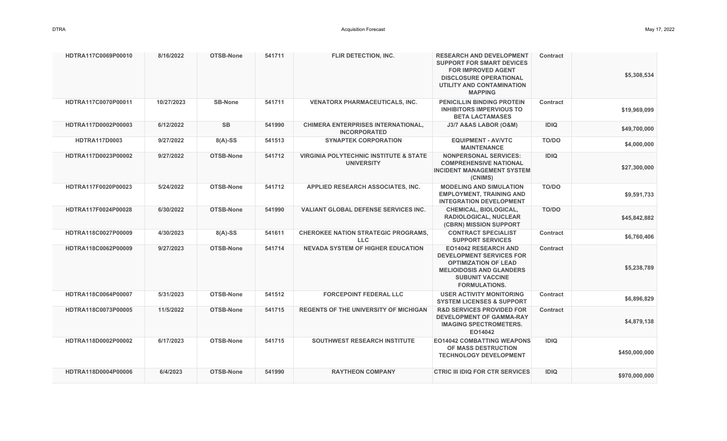| HDTRA117C0069P00010  | 8/16/2022  | OTSB-None        | 541711 | FLIR DETECTION, INC.                                                   | <b>RESEARCH AND DEVELOPMENT</b><br><b>SUPPORT FOR SMART DEVICES</b><br><b>FOR IMPROVED AGENT</b><br><b>DISCLOSURE OPERATIONAL</b><br>UTILITY AND CONTAMINATION<br><b>MAPPING</b>   | Contract        | \$5,308,534   |
|----------------------|------------|------------------|--------|------------------------------------------------------------------------|------------------------------------------------------------------------------------------------------------------------------------------------------------------------------------|-----------------|---------------|
| HDTRA117C0070P00011  | 10/27/2023 | <b>SB-None</b>   | 541711 | <b>VENATORX PHARMACEUTICALS, INC.</b>                                  | PENICILLIN BINDING PROTEIN<br><b>INHIBITORS IMPERVIOUS TO</b><br><b>BETA LACTAMASES</b>                                                                                            | Contract        | \$19,969,099  |
| HDTRA117D0002P00003  | 6/12/2022  | <b>SB</b>        | 541990 | <b>CHIMERA ENTERPRISES INTERNATIONAL,</b><br><b>INCORPORATED</b>       | J3/7 A&AS LABOR (O&M)                                                                                                                                                              | <b>IDIQ</b>     | \$49,700,000  |
| <b>HDTRA117D0003</b> | 9/27/2022  | $8(A)-SS$        | 541513 | <b>SYNAPTEK CORPORATION</b>                                            | <b>EQUIPMENT - AV/VTC</b><br><b>MAINTENANCE</b>                                                                                                                                    | TO/DO           | \$4,000,000   |
| HDTRA117D0023P00002  | 9/27/2022  | <b>OTSB-None</b> | 541712 | <b>VIRGINIA POLYTECHNIC INSTITUTE &amp; STATE</b><br><b>UNIVERSITY</b> | <b>NONPERSONAL SERVICES:</b><br><b>COMPREHENSIVE NATIONAL</b><br><b>INCIDENT MANAGEMENT SYSTEM</b><br>(CNIMS)                                                                      | <b>IDIQ</b>     | \$27,300,000  |
| HDTRA117F0020P00023  | 5/24/2022  | OTSB-None        | 541712 | APPLIED RESEARCH ASSOCIATES, INC.                                      | <b>MODELING AND SIMULATION</b><br><b>EMPLOYMENT, TRAINING AND</b><br><b>INTEGRATION DEVELOPMENT</b>                                                                                | <b>TO/DO</b>    | \$9,591,733   |
| HDTRA117F0024P00028  | 6/30/2022  | <b>OTSB-None</b> | 541990 | <b>VALIANT GLOBAL DEFENSE SERVICES INC.</b>                            | CHEMICAL, BIOLOGICAL,<br><b>RADIOLOGICAL, NUCLEAR</b><br>(CBRN) MISSION SUPPORT                                                                                                    | TO/DO           | \$45,842,882  |
| HDTRA118C0027P00009  | 4/30/2023  | $8(A)-SS$        | 541611 | <b>CHEROKEE NATION STRATEGIC PROGRAMS,</b><br><b>LLC</b>               | <b>CONTRACT SPECIALIST</b><br><b>SUPPORT SERVICES</b>                                                                                                                              | Contract        | \$6,760,406   |
| HDTRA118C0062P00009  | 9/27/2023  | <b>OTSB-None</b> | 541714 | <b>NEVADA SYSTEM OF HIGHER EDUCATION</b>                               | <b>EO14042 RESEARCH AND</b><br><b>DEVELOPMENT SERVICES FOR</b><br><b>OPTIMIZATION OF LEAD</b><br><b>MELIOIDOSIS AND GLANDERS</b><br><b>SUBUNIT VACCINE</b><br><b>FORMULATIONS.</b> | <b>Contract</b> | \$5,238,789   |
| HDTRA118C0064P00007  | 5/31/2023  | <b>OTSB-None</b> | 541512 | <b>FORCEPOINT FEDERAL LLC</b>                                          | <b>USER ACTIVITY MONITORING</b><br><b>SYSTEM LICENSES &amp; SUPPORT</b>                                                                                                            | <b>Contract</b> | \$6,896,829   |
| HDTRA118C0073P00005  | 11/5/2022  | OTSB-None        | 541715 | <b>REGENTS OF THE UNIVERSITY OF MICHIGAN</b>                           | <b>R&amp;D SERVICES PROVIDED FOR</b><br><b>DEVELOPMENT OF GAMMA-RAY</b><br><b>IMAGING SPECTROMETERS.</b><br>EO14042                                                                | <b>Contract</b> | \$4,879,138   |
| HDTRA118D0002P00002  | 6/17/2023  | OTSB-None        | 541715 | <b>SOUTHWEST RESEARCH INSTITUTE</b>                                    | <b>EO14042 COMBATTING WEAPONS</b><br>OF MASS DESTRUCTION<br><b>TECHNOLOGY DEVELOPMENT</b>                                                                                          | <b>IDIQ</b>     | \$450,000,000 |
| HDTRA118D0004P00006  | 6/4/2023   | OTSB-None        | 541990 | <b>RAYTHEON COMPANY</b>                                                | <b>CTRIC III IDIQ FOR CTR SERVICES</b>                                                                                                                                             | <b>IDIQ</b>     | \$970,000,000 |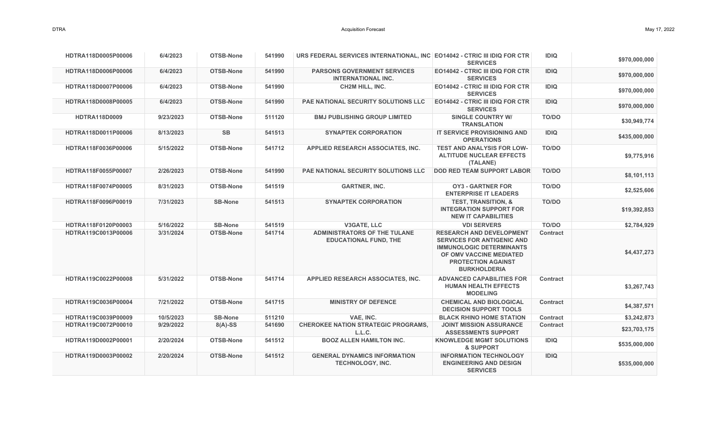| HDTRA118D0005P00006  | 6/4/2023  | <b>OTSB-None</b> | 541990 | URS FEDERAL SERVICES INTERNATIONAL, INC E014042 - CTRIC III IDIQ FOR CTR | <b>SERVICES</b>                                                                                                                                                                        | <b>IDIQ</b>     | \$970,000,000 |
|----------------------|-----------|------------------|--------|--------------------------------------------------------------------------|----------------------------------------------------------------------------------------------------------------------------------------------------------------------------------------|-----------------|---------------|
| HDTRA118D0006P00006  | 6/4/2023  | OTSB-None        | 541990 | <b>PARSONS GOVERNMENT SERVICES</b><br><b>INTERNATIONAL INC.</b>          | <b>EO14042 - CTRIC III IDIQ FOR CTR</b><br><b>SERVICES</b>                                                                                                                             | <b>IDIQ</b>     | \$970,000,000 |
| HDTRA118D0007P00006  | 6/4/2023  | OTSB-None        | 541990 | <b>CH2M HILL, INC.</b>                                                   | <b>EO14042 - CTRIC III IDIQ FOR CTR</b><br><b>SERVICES</b>                                                                                                                             | <b>IDIQ</b>     | \$970,000,000 |
| HDTRA118D0008P00005  | 6/4/2023  | OTSB-None        | 541990 | <b>PAE NATIONAL SECURITY SOLUTIONS LLC</b>                               | <b>EO14042 - CTRIC III IDIQ FOR CTR</b><br><b>SERVICES</b>                                                                                                                             | <b>IDIQ</b>     | \$970,000,000 |
| <b>HDTRA118D0009</b> | 9/23/2023 | OTSB-None        | 511120 | <b>BMJ PUBLISHING GROUP LIMITED</b>                                      | <b>SINGLE COUNTRY W/</b><br><b>TRANSLATION</b>                                                                                                                                         | TO/DO           | \$30,949,774  |
| HDTRA118D0011P00006  | 8/13/2023 | <b>SB</b>        | 541513 | <b>SYNAPTEK CORPORATION</b>                                              | <b>IT SERVICE PROVISIONING AND</b><br><b>OPERATIONS</b>                                                                                                                                | <b>IDIQ</b>     | \$435,000,000 |
| HDTRA118F0036P00006  | 5/15/2022 | OTSB-None        | 541712 | APPLIED RESEARCH ASSOCIATES. INC.                                        | <b>TEST AND ANALYSIS FOR LOW-</b><br><b>ALTITUDE NUCLEAR EFFECTS</b><br>(TALANE)                                                                                                       | <b>TO/DO</b>    | \$9,775,916   |
| HDTRA118F0055P00007  | 2/26/2023 | OTSB-None        | 541990 | <b>PAE NATIONAL SECURITY SOLUTIONS LLC</b>                               | <b>DOD RED TEAM SUPPORT LABOR</b>                                                                                                                                                      | <b>TO/DO</b>    | \$8,101,113   |
| HDTRA118F0074P00005  | 8/31/2023 | <b>OTSB-None</b> | 541519 | <b>GARTNER, INC.</b>                                                     | <b>OY3 - GARTNER FOR</b><br><b>ENTERPRISE IT LEADERS</b>                                                                                                                               | TO/DO           | \$2,525,606   |
| HDTRA118F0096P00019  | 7/31/2023 | <b>SB-None</b>   | 541513 | <b>SYNAPTEK CORPORATION</b>                                              | <b>TEST, TRANSITION, &amp;</b><br><b>INTEGRATION SUPPORT FOR</b><br><b>NEW IT CAPABILITIES</b>                                                                                         | <b>TO/DO</b>    | \$19,392,853  |
| HDTRA118F0120P00003  | 5/16/2022 | <b>SB-None</b>   | 541519 | V3GATE, LLC                                                              | <b>VDI SERVERS</b>                                                                                                                                                                     | TO/DO           | \$2,784,929   |
| HDTRA119C0013P00006  | 3/31/2024 | OTSB-None        | 541714 | <b>ADMINISTRATORS OF THE TULANE</b><br><b>EDUCATIONAL FUND, THE</b>      | <b>RESEARCH AND DEVELOPMENT</b><br><b>SERVICES FOR ANTIGENIC AND</b><br><b>IMMUNOLOGIC DETERMINANTS</b><br>OF OMV VACCINE MEDIATED<br><b>PROTECTION AGAINST</b><br><b>BURKHOLDERIA</b> | <b>Contract</b> | \$4,437,273   |
| HDTRA119C0022P00008  | 5/31/2022 | OTSB-None        | 541714 | APPLIED RESEARCH ASSOCIATES, INC.                                        | <b>ADVANCED CAPABILITIES FOR</b><br><b>HUMAN HEALTH EFFECTS</b><br><b>MODELING</b>                                                                                                     | <b>Contract</b> | \$3,267,743   |
| HDTRA119C0036P00004  | 7/21/2022 | OTSB-None        | 541715 | <b>MINISTRY OF DEFENCE</b>                                               | <b>CHEMICAL AND BIOLOGICAL</b><br><b>DECISION SUPPORT TOOLS</b>                                                                                                                        | <b>Contract</b> | \$4,387,571   |
| HDTRA119C0039P00009  | 10/5/2023 | <b>SB-None</b>   | 511210 | VAE, INC.                                                                | <b>BLACK RHINO HOME STATION</b>                                                                                                                                                        | <b>Contract</b> | \$3,242,873   |
| HDTRA119C0072P00010  | 9/29/2022 | $8(A)-SS$        | 541690 | <b>CHEROKEE NATION STRATEGIC PROGRAMS,</b><br>L.L.C.                     | <b>JOINT MISSION ASSURANCE</b><br><b>ASSESSMENTS SUPPORT</b>                                                                                                                           | <b>Contract</b> | \$23,703,175  |
| HDTRA119D0002P00001  | 2/20/2024 | OTSB-None        | 541512 | <b>BOOZ ALLEN HAMILTON INC.</b>                                          | <b>KNOWLEDGE MGMT SOLUTIONS</b><br>& SUPPORT                                                                                                                                           | <b>IDIQ</b>     | \$535,000,000 |
| HDTRA119D0003P00002  | 2/20/2024 | OTSB-None        | 541512 | <b>GENERAL DYNAMICS INFORMATION</b><br><b>TECHNOLOGY, INC.</b>           | <b>INFORMATION TECHNOLOGY</b><br><b>ENGINEERING AND DESIGN</b><br><b>SERVICES</b>                                                                                                      | <b>IDIQ</b>     | \$535,000,000 |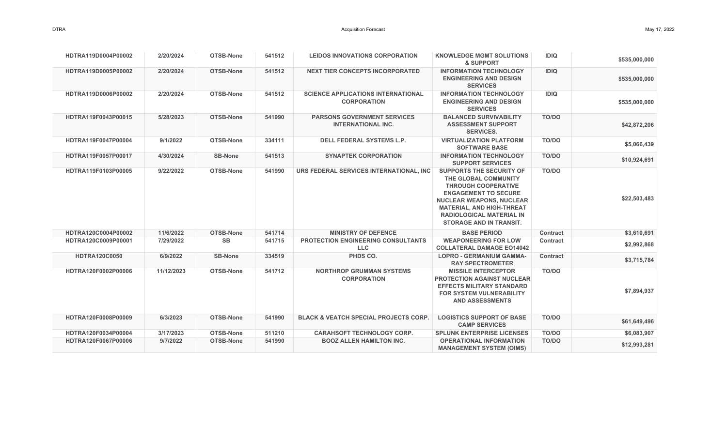| HDTRA119D0004P00002  | 2/20/2024  | OTSB-None        | 541512 | LEIDOS INNOVATIONS CORPORATION                                  | <b>KNOWLEDGE MGMT SOLUTIONS</b><br>& SUPPORT                                                                                                                                                                                                                     | <b>IDIQ</b>     | \$535,000,000 |
|----------------------|------------|------------------|--------|-----------------------------------------------------------------|------------------------------------------------------------------------------------------------------------------------------------------------------------------------------------------------------------------------------------------------------------------|-----------------|---------------|
| HDTRA119D0005P00002  | 2/20/2024  | OTSB-None        | 541512 | <b>NEXT TIER CONCEPTS INCORPORATED</b>                          | <b>INFORMATION TECHNOLOGY</b><br><b>ENGINEERING AND DESIGN</b><br><b>SERVICES</b>                                                                                                                                                                                | <b>IDIQ</b>     | \$535,000,000 |
| HDTRA119D0006P00002  | 2/20/2024  | OTSB-None        | 541512 | <b>SCIENCE APPLICATIONS INTERNATIONAL</b><br><b>CORPORATION</b> | <b>INFORMATION TECHNOLOGY</b><br><b>ENGINEERING AND DESIGN</b><br><b>SERVICES</b>                                                                                                                                                                                | <b>IDIQ</b>     | \$535,000,000 |
| HDTRA119F0043P00015  | 5/28/2023  | OTSB-None        | 541990 | <b>PARSONS GOVERNMENT SERVICES</b><br><b>INTERNATIONAL INC.</b> | <b>BALANCED SURVIVABILITY</b><br><b>ASSESSMENT SUPPORT</b><br><b>SERVICES.</b>                                                                                                                                                                                   | <b>TO/DO</b>    | \$42,872,206  |
| HDTRA119F0047P00004  | 9/1/2022   | OTSB-None        | 334111 | <b>DELL FEDERAL SYSTEMS L.P.</b>                                | <b>VIRTUALIZATION PLATFORM</b><br><b>SOFTWARE BASE</b>                                                                                                                                                                                                           | <b>TO/DO</b>    | \$5,066,439   |
| HDTRA119F0057P00017  | 4/30/2024  | <b>SB-None</b>   | 541513 | <b>SYNAPTEK CORPORATION</b>                                     | <b>INFORMATION TECHNOLOGY</b><br><b>SUPPORT SERVICES</b>                                                                                                                                                                                                         | <b>TO/DO</b>    | \$10,924,691  |
| HDTRA119F0103P00005  | 9/22/2022  | OTSB-None        | 541990 | URS FEDERAL SERVICES INTERNATIONAL, INC                         | <b>SUPPORTS THE SECURITY OF</b><br>THE GLOBAL COMMUNITY<br><b>THROUGH COOPERATIVE</b><br><b>ENGAGEMENT TO SECURE</b><br><b>NUCLEAR WEAPONS, NUCLEAR</b><br><b>MATERIAL, AND HIGH-THREAT</b><br><b>RADIOLOGICAL MATERIAL IN</b><br><b>STORAGE AND IN TRANSIT.</b> | <b>TO/DO</b>    | \$22,503,483  |
| HDTRA120C0004P00002  | 11/6/2022  | OTSB-None        | 541714 | <b>MINISTRY OF DEFENCE</b>                                      | <b>BASE PERIOD</b>                                                                                                                                                                                                                                               | <b>Contract</b> | \$3,610,691   |
| HDTRA120C0009P00001  | 7/29/2022  | <b>SB</b>        | 541715 | <b>PROTECTION ENGINEERING CONSULTANTS</b><br><b>LLC</b>         | <b>WEAPONEERING FOR LOW</b><br><b>COLLATERAL DAMAGE EO14042</b>                                                                                                                                                                                                  | <b>Contract</b> | \$2,992,868   |
| <b>HDTRA120C0050</b> | 6/9/2022   | <b>SB-None</b>   | 334519 | PHDS CO.                                                        | <b>LOPRO - GERMANIUM GAMMA-</b><br><b>RAY SPECTROMETER</b>                                                                                                                                                                                                       | <b>Contract</b> | \$3,715,784   |
| HDTRA120F0002P00006  | 11/12/2023 | OTSB-None        | 541712 | <b>NORTHROP GRUMMAN SYSTEMS</b><br><b>CORPORATION</b>           | <b>MISSILE INTERCEPTOR</b><br><b>PROTECTION AGAINST NUCLEAR</b><br><b>EFFECTS MILITARY STANDARD</b><br><b>FOR SYSTEM VULNERABILITY</b><br><b>AND ASSESSMENTS</b>                                                                                                 | TO/DO           | \$7,894,937   |
| HDTRA120F0008P00009  | 6/3/2023   | OTSB-None        | 541990 | <b>BLACK &amp; VEATCH SPECIAL PROJECTS CORP.</b>                | <b>LOGISTICS SUPPORT OF BASE</b><br><b>CAMP SERVICES</b>                                                                                                                                                                                                         | TO/DO           | \$61,649,496  |
| HDTRA120F0034P00004  | 3/17/2023  | <b>OTSB-None</b> | 511210 | <b>CARAHSOFT TECHNOLOGY CORP.</b>                               | <b>SPLUNK ENTERPRISE LICENSES</b>                                                                                                                                                                                                                                | TO/DO           | \$6,083,907   |
| HDTRA120F0067P00006  | 9/7/2022   | OTSB-None        | 541990 | <b>BOOZ ALLEN HAMILTON INC.</b>                                 | <b>OPERATIONAL INFORMATION</b><br><b>MANAGEMENT SYSTEM (OIMS)</b>                                                                                                                                                                                                | <b>TO/DO</b>    | \$12,993,281  |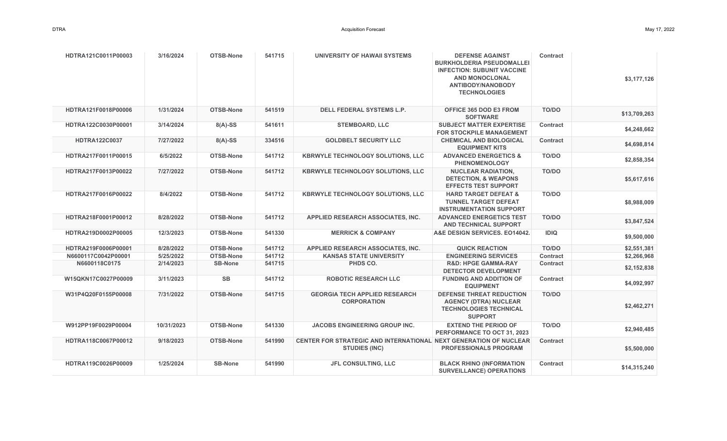| HDTRA121C0011P00003  | 3/16/2024  | OTSB-None        | 541715 | UNIVERSITY OF HAWAII SYSTEMS                                                                     | <b>DEFENSE AGAINST</b><br><b>BURKHOLDERIA PSEUDOMALLEI</b><br><b>INFECTION: SUBUNIT VACCINE</b><br><b>AND MONOCLONAL</b><br><b>ANTIBODY/NANOBODY</b><br><b>TECHNOLOGIES</b> | <b>Contract</b> | \$3,177,126  |
|----------------------|------------|------------------|--------|--------------------------------------------------------------------------------------------------|-----------------------------------------------------------------------------------------------------------------------------------------------------------------------------|-----------------|--------------|
| HDTRA121F0018P00006  | 1/31/2024  | OTSB-None        | 541519 | <b>DELL FEDERAL SYSTEMS L.P.</b>                                                                 | <b>OFFICE 365 DOD E3 FROM</b><br><b>SOFTWARE</b>                                                                                                                            | TO/DO           | \$13,709,263 |
| HDTRA122C0030P00001  | 3/14/2024  | $8(A)-SS$        | 541611 | <b>STEMBOARD, LLC</b>                                                                            | <b>SUBJECT MATTER EXPERTISE</b><br><b>FOR STOCKPILE MANAGEMENT</b>                                                                                                          | <b>Contract</b> | \$4,248,662  |
| <b>HDTRA122C0037</b> | 7/27/2022  | $8(A)-SS$        | 334516 | <b>GOLDBELT SECURITY LLC</b>                                                                     | <b>CHEMICAL AND BIOLOGICAL</b><br><b>EQUIPMENT KITS</b>                                                                                                                     | Contract        | \$4,698,814  |
| HDTRA217F0011P00015  | 6/5/2022   | OTSB-None        | 541712 | <b>KBRWYLE TECHNOLOGY SOLUTIONS, LLC</b>                                                         | <b>ADVANCED ENERGETICS &amp;</b><br><b>PHENOMENOLOGY</b>                                                                                                                    | TO/DO           | \$2,858,354  |
| HDTRA217F0013P00022  | 7/27/2022  | OTSB-None        | 541712 | <b>KBRWYLE TECHNOLOGY SOLUTIONS, LLC</b>                                                         | <b>NUCLEAR RADIATION.</b><br><b>DETECTION, &amp; WEAPONS</b><br><b>EFFECTS TEST SUPPORT</b>                                                                                 | TO/DO           | \$5,617,616  |
| HDTRA217F0016P00022  | 8/4/2022   | <b>OTSB-None</b> | 541712 | <b>KBRWYLE TECHNOLOGY SOLUTIONS, LLC</b>                                                         | <b>HARD TARGET DEFEAT &amp;</b><br><b>TUNNEL TARGET DEFEAT</b><br><b>INSTRUMENTATION SUPPORT</b>                                                                            | TO/DO           | \$8,988,009  |
| HDTRA218F0001P00012  | 8/28/2022  | <b>OTSB-None</b> | 541712 | APPLIED RESEARCH ASSOCIATES, INC.                                                                | <b>ADVANCED ENERGETICS TEST</b><br><b>AND TECHNICAL SUPPORT</b>                                                                                                             | <b>TO/DO</b>    | \$3,847,524  |
| HDTRA219D0002P00005  | 12/3/2023  | OTSB-None        | 541330 | <b>MERRICK &amp; COMPANY</b>                                                                     | A&E DESIGN SERVICES. E014042.                                                                                                                                               | <b>IDIQ</b>     | \$9,500,000  |
| HDTRA219F0006P00001  | 8/28/2022  | <b>OTSB-None</b> | 541712 | APPLIED RESEARCH ASSOCIATES, INC.                                                                | <b>QUICK REACTION</b>                                                                                                                                                       | TO/DO           | \$2,551,381  |
| N6600117C0042P00001  | 5/25/2022  | <b>OTSB-None</b> | 541712 | <b>KANSAS STATE UNIVERSITY</b>                                                                   | <b>ENGINEERING SERVICES</b>                                                                                                                                                 | <b>Contract</b> | \$2,266,968  |
| N6600118C0175        | 2/14/2023  | <b>SB-None</b>   | 541715 | PHDS CO.                                                                                         | <b>R&amp;D: HPGE GAMMA-RAY</b><br><b>DETECTOR DEVELOPMENT</b>                                                                                                               | <b>Contract</b> | \$2,152,838  |
| W15QKN17C0027P00009  | 3/11/2023  | <b>SB</b>        | 541712 | <b>ROBOTIC RESEARCH LLC</b>                                                                      | <b>FUNDING AND ADDITION OF</b><br><b>EQUIPMENT</b>                                                                                                                          | <b>Contract</b> | \$4,092,997  |
| W31P4Q20F0155P00008  | 7/31/2022  | OTSB-None        | 541715 | <b>GEORGIA TECH APPLIED RESEARCH</b><br><b>CORPORATION</b>                                       | <b>DEFENSE THREAT REDUCTION</b><br><b>AGENCY (DTRA) NUCLEAR</b><br><b>TECHNOLOGIES TECHNICAL</b><br><b>SUPPORT</b>                                                          | <b>TO/DO</b>    | \$2,462,271  |
| W912PP19F0029P00004  | 10/31/2023 | OTSB-None        | 541330 | <b>JACOBS ENGINEERING GROUP INC.</b>                                                             | <b>EXTEND THE PERIOD OF</b><br>PERFORMANCE TO OCT 31, 2023                                                                                                                  | TO/DO           | \$2,940,485  |
| HDTRA118C0067P00012  | 9/18/2023  | <b>OTSB-None</b> | 541990 | <b>CENTER FOR STRATEGIC AND INTERNATIONAL NEXT GENERATION OF NUCLEAR</b><br><b>STUDIES (INC)</b> | <b>PROFESSIONALS PROGRAM</b>                                                                                                                                                | <b>Contract</b> | \$5,500,000  |
| HDTRA119C0026P00009  | 1/25/2024  | <b>SB-None</b>   | 541990 | JFL CONSULTING, LLC                                                                              | <b>BLACK RHINO (INFORMATION</b><br><b>SURVEILLANCE) OPERATIONS</b>                                                                                                          | <b>Contract</b> | \$14,315,240 |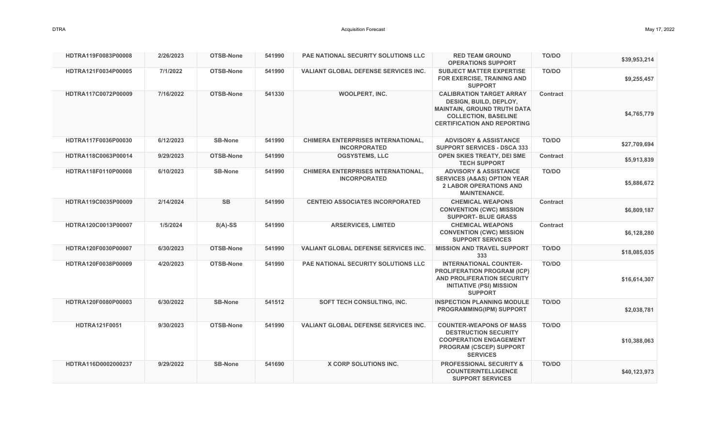| HDTRA119F0083P00008  | 2/26/2023 | <b>OTSB-None</b> | 541990 | <b>PAE NATIONAL SECURITY SOLUTIONS LLC</b>                       | <b>RED TEAM GROUND</b>                                                                                                                                                      | <b>TO/DO</b>    |              |
|----------------------|-----------|------------------|--------|------------------------------------------------------------------|-----------------------------------------------------------------------------------------------------------------------------------------------------------------------------|-----------------|--------------|
|                      |           |                  |        |                                                                  | <b>OPERATIONS SUPPORT</b>                                                                                                                                                   |                 | \$39,953,214 |
| HDTRA121F0034P00005  | 7/1/2022  | OTSB-None        | 541990 | VALIANT GLOBAL DEFENSE SERVICES INC.                             | <b>SUBJECT MATTER EXPERTISE</b><br>FOR EXERCISE, TRAINING AND<br><b>SUPPORT</b>                                                                                             | TO/DO           | \$9,255,457  |
| HDTRA117C0072P00009  | 7/16/2022 | OTSB-None        | 541330 | <b>WOOLPERT, INC.</b>                                            | <b>CALIBRATION TARGET ARRAY</b><br><b>DESIGN, BUILD, DEPLOY,</b><br><b>MAINTAIN, GROUND TRUTH DATA</b><br><b>COLLECTION, BASELINE</b><br><b>CERTIFICATION AND REPORTING</b> | <b>Contract</b> | \$4,765,779  |
| HDTRA117F0036P00030  | 6/12/2023 | <b>SB-None</b>   | 541990 | <b>CHIMERA ENTERPRISES INTERNATIONAL,</b><br><b>INCORPORATED</b> | <b>ADVISORY &amp; ASSISTANCE</b><br><b>SUPPORT SERVICES - DSCA 333</b>                                                                                                      | <b>TO/DO</b>    | \$27,709,694 |
| HDTRA118C0063P00014  | 9/29/2023 | <b>OTSB-None</b> | 541990 | <b>OGSYSTEMS, LLC</b>                                            | <b>OPEN SKIES TREATY, DEI SME</b><br><b>TECH SUPPORT</b>                                                                                                                    | <b>Contract</b> | \$5,913,839  |
| HDTRA118F0110P00008  | 6/10/2023 | <b>SB-None</b>   | 541990 | <b>CHIMERA ENTERPRISES INTERNATIONAL,</b><br><b>INCORPORATED</b> | <b>ADVISORY &amp; ASSISTANCE</b><br><b>SERVICES (A&amp;AS) OPTION YEAR</b><br><b>2 LABOR OPERATIONS AND</b><br><b>MAINTENANCE.</b>                                          | TO/DO           | \$5,886,672  |
| HDTRA119C0035P00009  | 2/14/2024 | <b>SB</b>        | 541990 | <b>CENTEIO ASSOCIATES INCORPORATED</b>                           | <b>CHEMICAL WEAPONS</b><br><b>CONVENTION (CWC) MISSION</b><br><b>SUPPORT- BLUE GRASS</b>                                                                                    | <b>Contract</b> | \$6,809,187  |
| HDTRA120C0013P00007  | 1/5/2024  | $8(A)-SS$        | 541990 | <b>ARSERVICES, LIMITED</b>                                       | <b>CHEMICAL WEAPONS</b><br><b>CONVENTION (CWC) MISSION</b><br><b>SUPPORT SERVICES</b>                                                                                       | Contract        | \$6,128,280  |
| HDTRA120F0030P00007  | 6/30/2023 | <b>OTSB-None</b> | 541990 | <b>VALIANT GLOBAL DEFENSE SERVICES INC.</b>                      | <b>MISSION AND TRAVEL SUPPORT</b><br>333                                                                                                                                    | <b>TO/DO</b>    | \$18,085,035 |
| HDTRA120F0038P00009  | 4/20/2023 | OTSB-None        | 541990 | PAE NATIONAL SECURITY SOLUTIONS LLC                              | <b>INTERNATIONAL COUNTER-</b><br><b>PROLIFERATION PROGRAM (ICP)</b><br>AND PROLIFERATION SECURITY<br><b>INITIATIVE (PSI) MISSION</b><br><b>SUPPORT</b>                      | TO/DO           | \$16,614,307 |
| HDTRA120F0080P00003  | 6/30/2022 | <b>SB-None</b>   | 541512 | SOFT TECH CONSULTING, INC.                                       | <b>INSPECTION PLANNING MODULE</b><br><b>PROGRAMMING(IPM) SUPPORT</b>                                                                                                        | TO/DO           | \$2,038,781  |
| <b>HDTRA121F0051</b> | 9/30/2023 | OTSB-None        | 541990 | <b>VALIANT GLOBAL DEFENSE SERVICES INC.</b>                      | <b>COUNTER-WEAPONS OF MASS</b><br><b>DESTRUCTION SECURITY</b><br><b>COOPERATION ENGAGEMENT</b><br><b>PROGRAM (CSCEP) SUPPORT</b><br><b>SERVICES</b>                         | TO/DO           | \$10,388,063 |
| HDTRA116D0002000237  | 9/29/2022 | <b>SB-None</b>   | 541690 | <b>X CORP SOLUTIONS INC.</b>                                     | <b>PROFESSIONAL SECURITY &amp;</b><br><b>COUNTERINTELLIGENCE</b><br><b>SUPPORT SERVICES</b>                                                                                 | TO/DO           | \$40,123,973 |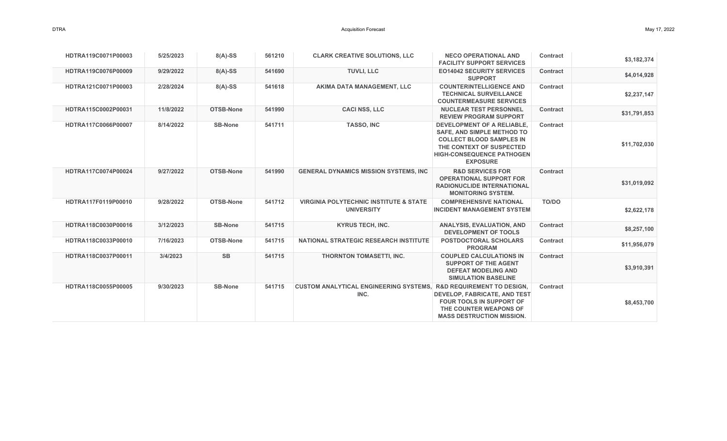| HDTRA119C0071P00003 | 5/25/2023 | $8(A)-SS$        | 561210 | <b>CLARK CREATIVE SOLUTIONS, LLC</b>                                                 | <b>NECO OPERATIONAL AND</b><br><b>FACILITY SUPPORT SERVICES</b>                                                                                                                              | Contract        | \$3,182,374  |
|---------------------|-----------|------------------|--------|--------------------------------------------------------------------------------------|----------------------------------------------------------------------------------------------------------------------------------------------------------------------------------------------|-----------------|--------------|
| HDTRA119C0076P00009 | 9/29/2022 | $8(A)-SS$        | 541690 | <b>TUVLI, LLC</b>                                                                    | <b>EO14042 SECURITY SERVICES</b><br><b>SUPPORT</b>                                                                                                                                           | <b>Contract</b> | \$4,014,928  |
| HDTRA121C0071P00003 | 2/28/2024 | $8(A)-SS$        | 541618 | AKIMA DATA MANAGEMENT, LLC                                                           | <b>COUNTERINTELLIGENCE AND</b><br><b>TECHNICAL SURVEILLANCE</b><br><b>COUNTERMEASURE SERVICES</b>                                                                                            | <b>Contract</b> | \$2,237,147  |
| HDTRA115C0002P00031 | 11/8/2022 | OTSB-None        | 541990 | <b>CACI NSS, LLC</b>                                                                 | <b>NUCLEAR TEST PERSONNEL</b><br><b>REVIEW PROGRAM SUPPORT</b>                                                                                                                               | Contract        | \$31,791,853 |
| HDTRA117C0066P00007 | 8/14/2022 | <b>SB-None</b>   | 541711 | <b>TASSO, INC</b>                                                                    | <b>DEVELOPMENT OF A RELIABLE.</b><br><b>SAFE, AND SIMPLE METHOD TO</b><br><b>COLLECT BLOOD SAMPLES IN</b><br>THE CONTEXT OF SUSPECTED<br><b>HIGH-CONSEQUENCE PATHOGEN</b><br><b>EXPOSURE</b> | Contract        | \$11,702,030 |
| HDTRA117C0074P00024 | 9/27/2022 | <b>OTSB-None</b> | 541990 | <b>GENERAL DYNAMICS MISSION SYSTEMS, INC.</b>                                        | <b>R&amp;D SERVICES FOR</b><br><b>OPERATIONAL SUPPORT FOR</b><br><b>RADIONUCLIDE INTERNATIONAL</b><br><b>MONITORING SYSTEM.</b>                                                              | <b>Contract</b> | \$31,019,092 |
| HDTRA117F0119P00010 | 9/28/2022 | <b>OTSB-None</b> | 541712 | <b>VIRGINIA POLYTECHNIC INSTITUTE &amp; STATE</b><br><b>UNIVERSITY</b>               | <b>COMPREHENSIVE NATIONAL</b><br><b>INCIDENT MANAGEMENT SYSTEM</b>                                                                                                                           | <b>TO/DO</b>    | \$2,622,178  |
| HDTRA118C0030P00016 | 3/12/2023 | <b>SB-None</b>   | 541715 | <b>KYRUS TECH, INC.</b>                                                              | <b>ANALYSIS, EVALUATION, AND</b><br><b>DEVELOPMENT OF TOOLS</b>                                                                                                                              | <b>Contract</b> | \$8,257,100  |
| HDTRA118C0033P00010 | 7/16/2023 | OTSB-None        | 541715 | <b>NATIONAL STRATEGIC RESEARCH INSTITUTE</b>                                         | <b>POSTDOCTORAL SCHOLARS</b><br><b>PROGRAM</b>                                                                                                                                               | <b>Contract</b> | \$11,956,079 |
| HDTRA118C0037P00011 | 3/4/2023  | <b>SB</b>        | 541715 | <b>THORNTON TOMASETTI, INC.</b>                                                      | <b>COUPLED CALCULATIONS IN</b><br><b>SUPPORT OF THE AGENT</b><br><b>DEFEAT MODELING AND</b><br><b>SIMULATION BASELINE</b>                                                                    | <b>Contract</b> | \$3,910,391  |
| HDTRA118C0055P00005 | 9/30/2023 | <b>SB-None</b>   | 541715 | <b>CUSTOM ANALYTICAL ENGINEERING SYSTEMS, R&amp;D REQUIREMENT TO DESIGN,</b><br>INC. | <b>DEVELOP, FABRICATE, AND TEST</b><br><b>FOUR TOOLS IN SUPPORT OF</b><br>THE COUNTER WEAPONS OF<br><b>MASS DESTRUCTION MISSION.</b>                                                         | <b>Contract</b> | \$8,453,700  |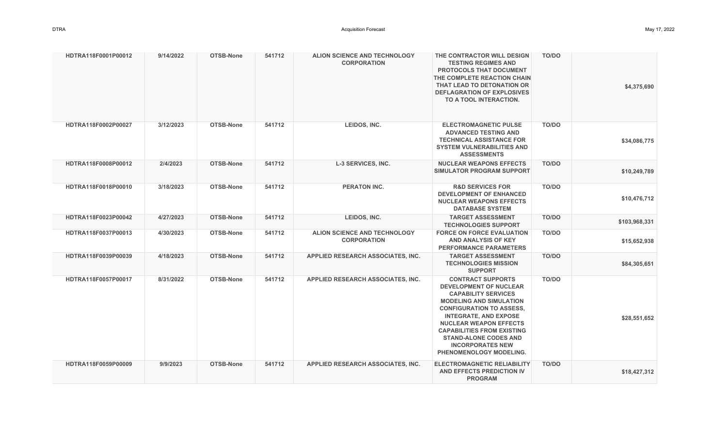| HDTRA118F0001P00012 | 9/14/2022 | OTSB-None | 541712 | <b>ALION SCIENCE AND TECHNOLOGY</b><br><b>CORPORATION</b> | THE CONTRACTOR WILL DESIGN<br><b>TESTING REGIMES AND</b><br><b>PROTOCOLS THAT DOCUMENT</b><br>THE COMPLETE REACTION CHAIN<br>THAT LEAD TO DETONATION OR<br><b>DEFLAGRATION OF EXPLOSIVES</b><br>TO A TOOL INTERACTION.                                                                                                                                   | <b>TO/DO</b> | \$4,375,690   |
|---------------------|-----------|-----------|--------|-----------------------------------------------------------|----------------------------------------------------------------------------------------------------------------------------------------------------------------------------------------------------------------------------------------------------------------------------------------------------------------------------------------------------------|--------------|---------------|
| HDTRA118F0002P00027 | 3/12/2023 | OTSB-None | 541712 | LEIDOS, INC.                                              | <b>ELECTROMAGNETIC PULSE</b><br><b>ADVANCED TESTING AND</b><br><b>TECHNICAL ASSISTANCE FOR</b><br><b>SYSTEM VULNERABILITIES AND</b><br><b>ASSESSMENTS</b>                                                                                                                                                                                                | TO/DO        | \$34,086,775  |
| HDTRA118F0008P00012 | 2/4/2023  | OTSB-None | 541712 | <b>L-3 SERVICES, INC.</b>                                 | <b>NUCLEAR WEAPONS EFFECTS</b><br><b>SIMULATOR PROGRAM SUPPORT</b>                                                                                                                                                                                                                                                                                       | <b>TO/DO</b> | \$10,249,789  |
| HDTRA118F0018P00010 | 3/18/2023 | OTSB-None | 541712 | <b>PERATON INC.</b>                                       | <b>R&amp;D SERVICES FOR</b><br><b>DEVELOPMENT OF ENHANCED</b><br><b>NUCLEAR WEAPONS EFFECTS</b><br><b>DATABASE SYSTEM</b>                                                                                                                                                                                                                                | TO/DO        | \$10,476,712  |
| HDTRA118F0023P00042 | 4/27/2023 | OTSB-None | 541712 | LEIDOS, INC.                                              | <b>TARGET ASSESSMENT</b><br><b>TECHNOLOGIES SUPPORT</b>                                                                                                                                                                                                                                                                                                  | TO/DO        | \$103,968,331 |
| HDTRA118F0037P00013 | 4/30/2023 | OTSB-None | 541712 | ALION SCIENCE AND TECHNOLOGY<br><b>CORPORATION</b>        | <b>FORCE ON FORCE EVALUATION</b><br><b>AND ANALYSIS OF KEY</b><br><b>PERFORMANCE PARAMETERS</b>                                                                                                                                                                                                                                                          | TO/DO        | \$15,652,938  |
| HDTRA118F0039P00039 | 4/18/2023 | OTSB-None | 541712 | APPLIED RESEARCH ASSOCIATES, INC.                         | <b>TARGET ASSESSMENT</b><br><b>TECHNOLOGIES MISSION</b><br><b>SUPPORT</b>                                                                                                                                                                                                                                                                                | <b>TO/DO</b> | \$84,305,651  |
| HDTRA118F0057P00017 | 8/31/2022 | OTSB-None | 541712 | <b>APPLIED RESEARCH ASSOCIATES, INC.</b>                  | <b>CONTRACT SUPPORTS</b><br><b>DEVELOPMENT OF NUCLEAR</b><br><b>CAPABILITY SERVICES</b><br><b>MODELING AND SIMULATION</b><br><b>CONFIGURATION TO ASSESS,</b><br><b>INTEGRATE, AND EXPOSE</b><br><b>NUCLEAR WEAPON EFFECTS</b><br><b>CAPABILITIES FROM EXISTING</b><br><b>STAND-ALONE CODES AND</b><br><b>INCORPORATES NEW</b><br>PHENOMENOLOGY MODELING. | TO/DO        | \$28,551,652  |
| HDTRA118F0059P00009 | 9/9/2023  | OTSB-None | 541712 | APPLIED RESEARCH ASSOCIATES, INC.                         | <b>ELECTROMAGNETIC RELIABILITY</b><br>AND EFFECTS PREDICTION IV<br><b>PROGRAM</b>                                                                                                                                                                                                                                                                        | TO/DO        | \$18,427,312  |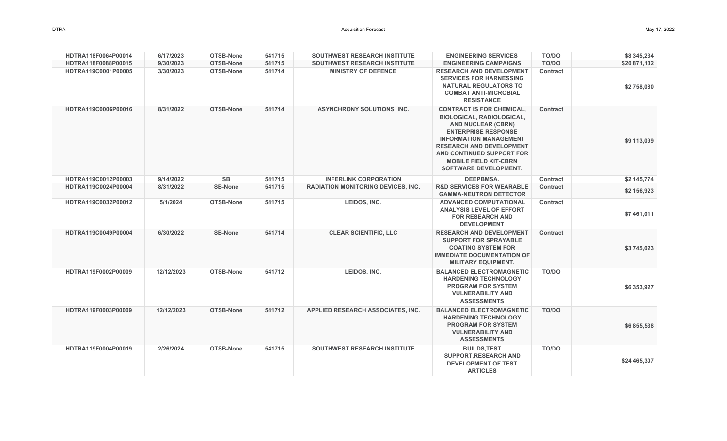| HDTRA118F0064P00014 | 6/17/2023  | OTSB-None        | 541715 | <b>SOUTHWEST RESEARCH INSTITUTE</b>       | <b>ENGINEERING SERVICES</b>                                                                                                                                                                                                                                                                      | TO/DO           | \$8,345,234  |
|---------------------|------------|------------------|--------|-------------------------------------------|--------------------------------------------------------------------------------------------------------------------------------------------------------------------------------------------------------------------------------------------------------------------------------------------------|-----------------|--------------|
| HDTRA118F0088P00015 | 9/30/2023  | OTSB-None        | 541715 | <b>SOUTHWEST RESEARCH INSTITUTE</b>       | <b>ENGINEERING CAMPAIGNS</b>                                                                                                                                                                                                                                                                     | <b>TO/DO</b>    | \$20,871,132 |
| HDTRA119C0001P00005 | 3/30/2023  | <b>OTSB-None</b> | 541714 | <b>MINISTRY OF DEFENCE</b>                | <b>RESEARCH AND DEVELOPMENT</b><br><b>SERVICES FOR HARNESSING</b><br><b>NATURAL REGULATORS TO</b><br><b>COMBAT ANTI-MICROBIAL</b><br><b>RESISTANCE</b>                                                                                                                                           | <b>Contract</b> | \$2,758,080  |
| HDTRA119C0006P00016 | 8/31/2022  | OTSB-None        | 541714 | <b>ASYNCHRONY SOLUTIONS, INC.</b>         | <b>CONTRACT IS FOR CHEMICAL,</b><br><b>BIOLOGICAL, RADIOLOGICAL,</b><br><b>AND NUCLEAR (CBRN)</b><br><b>ENTERPRISE RESPONSE</b><br><b>INFORMATION MANAGEMENT</b><br><b>RESEARCH AND DEVELOPMENT</b><br>AND CONTINUED SUPPORT FOR<br><b>MOBILE FIELD KIT-CBRN</b><br><b>SOFTWARE DEVELOPMENT.</b> | <b>Contract</b> | \$9,113,099  |
| HDTRA119C0012P00003 | 9/14/2022  | <b>SB</b>        | 541715 | <b>INFERLINK CORPORATION</b>              | <b>DEEPBMSA.</b>                                                                                                                                                                                                                                                                                 | <b>Contract</b> | \$2,145,774  |
| HDTRA119C0024P00004 | 8/31/2022  | <b>SB-None</b>   | 541715 | <b>RADIATION MONITORING DEVICES, INC.</b> | <b>R&amp;D SERVICES FOR WEARABLE</b><br><b>GAMMA-NEUTRON DETECTOR</b>                                                                                                                                                                                                                            | <b>Contract</b> | \$2,156,923  |
| HDTRA119C0032P00012 | 5/1/2024   | OTSB-None        | 541715 | LEIDOS, INC.                              | <b>ADVANCED COMPUTATIONAL</b><br><b>ANALYSIS LEVEL OF EFFORT</b><br><b>FOR RESEARCH AND</b><br><b>DEVELOPMENT</b>                                                                                                                                                                                | Contract        | \$7,461,011  |
| HDTRA119C0049P00004 | 6/30/2022  | <b>SB-None</b>   | 541714 | <b>CLEAR SCIENTIFIC, LLC</b>              | <b>RESEARCH AND DEVELOPMENT</b><br><b>SUPPORT FOR SPRAYABLE</b><br><b>COATING SYSTEM FOR</b><br><b>IMMEDIATE DOCUMENTATION OF</b><br><b>MILITARY EQUIPMENT.</b>                                                                                                                                  | Contract        | \$3,745,023  |
| HDTRA119F0002P00009 | 12/12/2023 | OTSB-None        | 541712 | LEIDOS, INC.                              | <b>BALANCED ELECTROMAGNETIC</b><br><b>HARDENING TECHNOLOGY</b><br><b>PROGRAM FOR SYSTEM</b><br><b>VULNERABILITY AND</b><br><b>ASSESSMENTS</b>                                                                                                                                                    | <b>TO/DO</b>    | \$6,353,927  |
| HDTRA119F0003P00009 | 12/12/2023 | <b>OTSB-None</b> | 541712 | APPLIED RESEARCH ASSOCIATES, INC.         | <b>BALANCED ELECTROMAGNETIC</b><br><b>HARDENING TECHNOLOGY</b><br><b>PROGRAM FOR SYSTEM</b><br><b>VULNERABILITY AND</b><br><b>ASSESSMENTS</b>                                                                                                                                                    | <b>TO/DO</b>    | \$6,855,538  |
| HDTRA119F0004P00019 | 2/26/2024  | <b>OTSB-None</b> | 541715 | <b>SOUTHWEST RESEARCH INSTITUTE</b>       | <b>BUILDS, TEST</b><br><b>SUPPORT, RESEARCH AND</b><br><b>DEVELOPMENT OF TEST</b><br><b>ARTICLES</b>                                                                                                                                                                                             | TO/DO           | \$24,465,307 |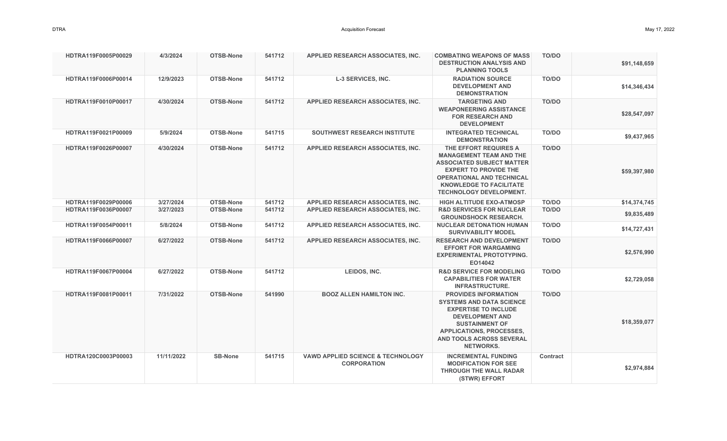| HDTRA119F0005P00029 | 4/3/2024   | <b>OTSB-None</b> | 541712 | <b>APPLIED RESEARCH ASSOCIATES, INC.</b>                           | <b>COMBATING WEAPONS OF MASS</b><br><b>DESTRUCTION ANALYSIS AND</b><br><b>PLANNING TOOLS</b>                                                                                                                                        | <b>TO/DO</b>    | \$91,148,659 |
|---------------------|------------|------------------|--------|--------------------------------------------------------------------|-------------------------------------------------------------------------------------------------------------------------------------------------------------------------------------------------------------------------------------|-----------------|--------------|
| HDTRA119F0006P00014 | 12/9/2023  | <b>OTSB-None</b> | 541712 | <b>L-3 SERVICES, INC.</b>                                          | <b>RADIATION SOURCE</b><br><b>DEVELOPMENT AND</b><br><b>DEMONSTRATION</b>                                                                                                                                                           | TO/DO           | \$14,346,434 |
| HDTRA119F0010P00017 | 4/30/2024  | OTSB-None        | 541712 | APPLIED RESEARCH ASSOCIATES, INC.                                  | <b>TARGETING AND</b><br><b>WEAPONEERING ASSISTANCE</b><br><b>FOR RESEARCH AND</b><br><b>DEVELOPMENT</b>                                                                                                                             | <b>TO/DO</b>    | \$28,547,097 |
| HDTRA119F0021P00009 | 5/9/2024   | <b>OTSB-None</b> | 541715 | <b>SOUTHWEST RESEARCH INSTITUTE</b>                                | <b>INTEGRATED TECHNICAL</b><br><b>DEMONSTRATION</b>                                                                                                                                                                                 | TO/DO           | \$9,437,965  |
| HDTRA119F0026P00007 | 4/30/2024  | OTSB-None        | 541712 | APPLIED RESEARCH ASSOCIATES, INC.                                  | THE EFFORT REQUIRES A<br><b>MANAGEMENT TEAM AND THE</b><br><b>ASSOCIATED SUBJECT MATTER</b><br><b>EXPERT TO PROVIDE THE</b><br><b>OPERATIONAL AND TECHNICAL</b><br><b>KNOWLEDGE TO FACILITATE</b><br><b>TECHNOLOGY DEVELOPMENT.</b> | TO/DO           | \$59,397,980 |
| HDTRA119F0029P00006 | 3/27/2024  | <b>OTSB-None</b> | 541712 | <b>APPLIED RESEARCH ASSOCIATES, INC.</b>                           | <b>HIGH ALTITUDE EXO-ATMOSP</b>                                                                                                                                                                                                     | <b>TO/DO</b>    | \$14,374,745 |
| HDTRA119F0036P00007 | 3/27/2023  | OTSB-None        | 541712 | <b>APPLIED RESEARCH ASSOCIATES, INC.</b>                           | <b>R&amp;D SERVICES FOR NUCLEAR</b><br><b>GROUNDSHOCK RESEARCH.</b>                                                                                                                                                                 | <b>TO/DO</b>    | \$9,835,489  |
| HDTRA119F0054P00011 | 5/8/2024   | <b>OTSB-None</b> | 541712 | APPLIED RESEARCH ASSOCIATES, INC.                                  | <b>NUCLEAR DETONATION HUMAN</b><br><b>SURVIVABILITY MODEL</b>                                                                                                                                                                       | TO/DO           | \$14,727,431 |
| HDTRA119F0066P00007 | 6/27/2022  | OTSB-None        | 541712 | APPLIED RESEARCH ASSOCIATES, INC.                                  | <b>RESEARCH AND DEVELOPMENT</b><br><b>EFFORT FOR WARGAMING</b><br><b>EXPERIMENTAL PROTOTYPING.</b><br>EO14042                                                                                                                       | TO/DO           | \$2,576,990  |
| HDTRA119F0067P00004 | 6/27/2022  | OTSB-None        | 541712 | LEIDOS, INC.                                                       | <b>R&amp;D SERVICE FOR MODELING</b><br><b>CAPABILITIES FOR WATER</b><br><b>INFRASTRUCTURE.</b>                                                                                                                                      | <b>TO/DO</b>    | \$2,729,058  |
| HDTRA119F0081P00011 | 7/31/2022  | OTSB-None        | 541990 | <b>BOOZ ALLEN HAMILTON INC.</b>                                    | <b>PROVIDES INFORMATION</b><br><b>SYSTEMS AND DATA SCIENCE</b><br><b>EXPERTISE TO INCLUDE</b><br><b>DEVELOPMENT AND</b><br><b>SUSTAINMENT OF</b><br><b>APPLICATIONS, PROCESSES,</b><br>AND TOOLS ACROSS SEVERAL<br><b>NETWORKS.</b> | <b>TO/DO</b>    | \$18,359,077 |
| HDTRA120C0003P00003 | 11/11/2022 | <b>SB-None</b>   | 541715 | <b>VAWD APPLIED SCIENCE &amp; TECHNOLOGY</b><br><b>CORPORATION</b> | <b>INCREMENTAL FUNDING</b><br><b>MODIFICATION FOR SEE</b><br><b>THROUGH THE WALL RADAR</b><br>(STWR) EFFORT                                                                                                                         | <b>Contract</b> | \$2,974,884  |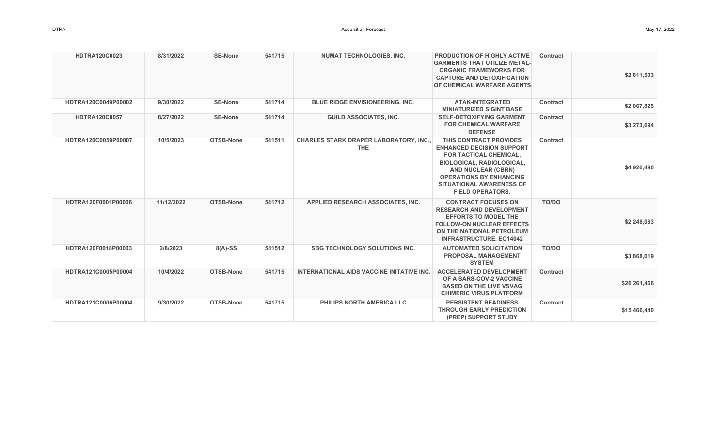| <b>HDTRA120C0023</b> | 8/31/2022  | <b>SB-None</b> | 541715 | <b>NUMAT TECHNOLOGIES, INC.</b>                             | <b>PRODUCTION OF HIGHLY ACTIVE</b><br><b>GARMENTS THAT UTILIZE METAL-</b><br><b>ORGANIC FRAMEWORKS FOR</b><br><b>CAPTURE AND DETOXIFICATION</b><br><b>OF CHEMICAL WARFARE AGENTS</b>                                                                  | Contract        | \$2,611,503  |
|----------------------|------------|----------------|--------|-------------------------------------------------------------|-------------------------------------------------------------------------------------------------------------------------------------------------------------------------------------------------------------------------------------------------------|-----------------|--------------|
| HDTRA120C0049P00002  | 9/30/2022  | <b>SB-None</b> | 541714 | <b>BLUE RIDGE ENVISIONEERING, INC.</b>                      | <b>ATAK-INTEGRATED</b><br><b>MINIATURIZED SIGINT BASE</b>                                                                                                                                                                                             | <b>Contract</b> | \$2,067,825  |
| <b>HDTRA120C0057</b> | 8/27/2022  | <b>SB-None</b> | 541714 | <b>GUILD ASSOCIATES, INC.</b>                               | <b>SELF-DETOXIFYING GARMENT</b><br><b>FOR CHEMICAL WARFARE</b><br><b>DEFENSE</b>                                                                                                                                                                      | <b>Contract</b> | \$3,273,694  |
| HDTRA120C0059P00007  | 10/5/2023  | OTSB-None      | 541511 | <b>CHARLES STARK DRAPER LABORATORY, INC.,</b><br><b>THE</b> | THIS CONTRACT PROVIDES<br><b>ENHANCED DECISION SUPPORT</b><br>FOR TACTICAL CHEMICAL,<br><b>BIOLOGICAL, RADIOLOGICAL,</b><br><b>AND NUCLEAR (CBRN)</b><br><b>OPERATIONS BY ENHANCING</b><br><b>SITUATIONAL AWARENESS OF</b><br><b>FIELD OPERATORS.</b> | <b>Contract</b> | \$4,926,490  |
| HDTRA120F0001P00006  | 11/12/2022 | OTSB-None      | 541712 | APPLIED RESEARCH ASSOCIATES, INC.                           | <b>CONTRACT FOCUSES ON</b><br><b>RESEARCH AND DEVELOPMENT</b><br><b>EFFORTS TO MODEL THE</b><br><b>FOLLOW-ON NUCLEAR EFFECTS</b><br>ON THE NATIONAL PETROLEUM<br><b>INFRASTRUCTURE, EO14042</b>                                                       | <b>TO/DO</b>    | \$2,248,063  |
| HDTRA120F0018P00003  | 2/8/2023   | $8(A)-SS$      | 541512 | <b>SBG TECHNOLOGY SOLUTIONS INC.</b>                        | <b>AUTOMATED SOLICITATION</b><br><b>PROPOSAL MANAGEMENT</b><br><b>SYSTEM</b>                                                                                                                                                                          | TO/DO           | \$3,868,019  |
| HDTRA121C0005P00004  | 10/4/2022  | OTSB-None      | 541715 | <b>INTERNATIONAL AIDS VACCINE INITATIVE INC.</b>            | <b>ACCELERATED DEVELOPMENT</b><br>OF A SARS-COV-2 VACCINE<br><b>BASED ON THE LIVE VSVAG</b><br><b>CHIMERIC VIRUS PLATFORM</b>                                                                                                                         | <b>Contract</b> | \$26,261,466 |
| HDTRA121C0006P00004  | 9/30/2022  | OTSB-None      | 541715 | <b>PHILIPS NORTH AMERICA LLC</b>                            | <b>PERSISTENT READINESS</b><br><b>THROUGH EARLY PREDICTION</b><br>(PREP) SUPPORT STUDY                                                                                                                                                                | <b>Contract</b> | \$15,466,440 |